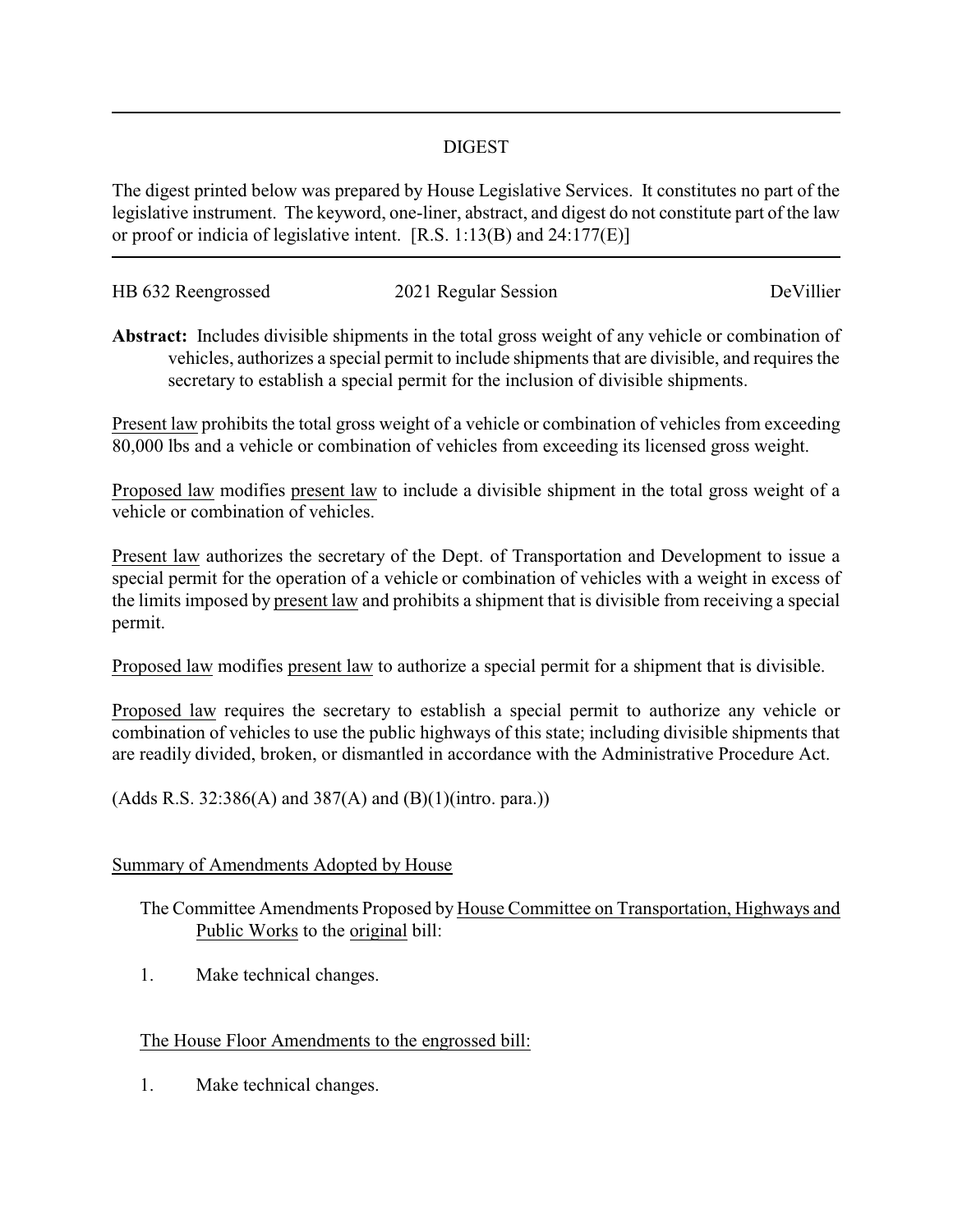## DIGEST

The digest printed below was prepared by House Legislative Services. It constitutes no part of the legislative instrument. The keyword, one-liner, abstract, and digest do not constitute part of the law or proof or indicia of legislative intent. [R.S. 1:13(B) and 24:177(E)]

| HB 632 Reengrossed | 2021 Regular Session | DeVillier |
|--------------------|----------------------|-----------|
|                    |                      |           |

**Abstract:** Includes divisible shipments in the total gross weight of any vehicle or combination of vehicles, authorizes a special permit to include shipments that are divisible, and requires the secretary to establish a special permit for the inclusion of divisible shipments.

Present law prohibits the total gross weight of a vehicle or combination of vehicles from exceeding 80,000 lbs and a vehicle or combination of vehicles from exceeding its licensed gross weight.

Proposed law modifies present law to include a divisible shipment in the total gross weight of a vehicle or combination of vehicles.

Present law authorizes the secretary of the Dept. of Transportation and Development to issue a special permit for the operation of a vehicle or combination of vehicles with a weight in excess of the limits imposed by present law and prohibits a shipment that is divisible from receiving a special permit.

Proposed law modifies present law to authorize a special permit for a shipment that is divisible.

Proposed law requires the secretary to establish a special permit to authorize any vehicle or combination of vehicles to use the public highways of this state; including divisible shipments that are readily divided, broken, or dismantled in accordance with the Administrative Procedure Act.

(Adds R.S. 32:386(A) and 387(A) and (B)(1)(intro. para.))

## Summary of Amendments Adopted by House

The Committee Amendments Proposed by House Committee on Transportation, Highways and Public Works to the original bill:

1. Make technical changes.

## The House Floor Amendments to the engrossed bill:

1. Make technical changes.